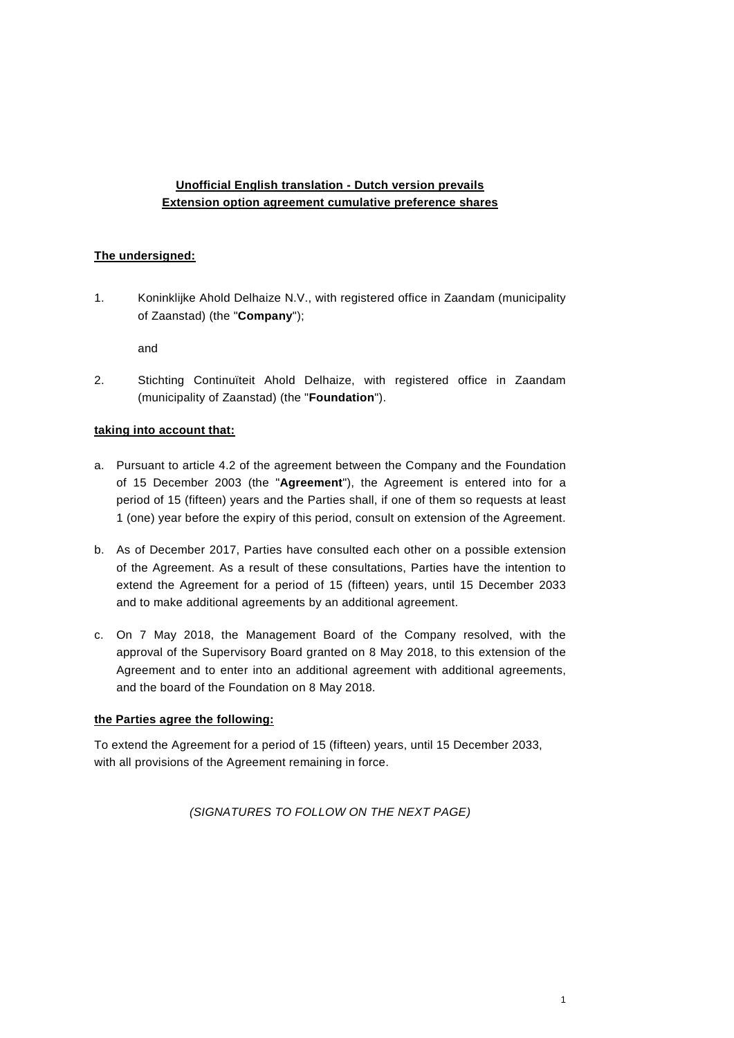# **Unofficial English translation - Dutch version prevails Extension option agreement cumulative preference shares**

## **The undersigned:**

1. Koninklijke Ahold Delhaize N.V., with registered office in Zaandam (municipality of Zaanstad) (the "**Company**");

and

2. Stichting Continuïteit Ahold Delhaize, with registered office in Zaandam (municipality of Zaanstad) (the "**Foundation**").

## **taking into account that:**

- a. Pursuant to article 4.2 of the agreement between the Company and the Foundation of 15 December 2003 (the "**Agreement**"), the Agreement is entered into for a period of 15 (fifteen) years and the Parties shall, if one of them so requests at least 1 (one) year before the expiry of this period, consult on extension of the Agreement.
- b. As of December 2017, Parties have consulted each other on a possible extension of the Agreement. As a result of these consultations, Parties have the intention to extend the Agreement for a period of 15 (fifteen) years, until 15 December 2033 and to make additional agreements by an additional agreement.
- c. On 7 May 2018, the Management Board of the Company resolved, with the approval of the Supervisory Board granted on 8 May 2018, to this extension of the Agreement and to enter into an additional agreement with additional agreements, and the board of the Foundation on 8 May 2018.

### **the Parties agree the following:**

To extend the Agreement for a period of 15 (fifteen) years, until 15 December 2033, with all provisions of the Agreement remaining in force.

*(SIGNATURES TO FOLLOW ON THE NEXT PAGE)*